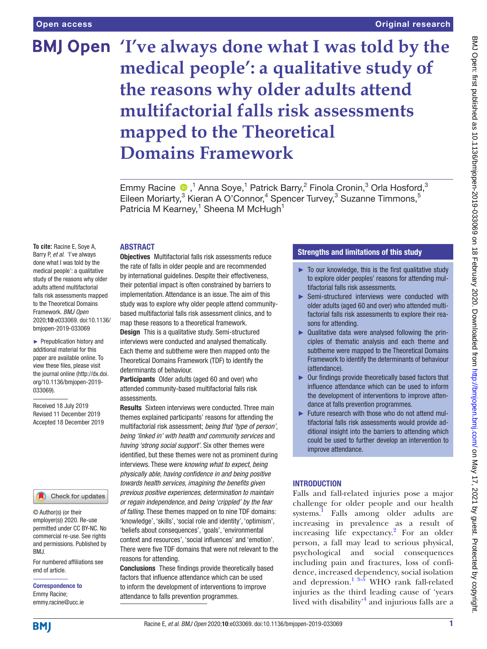# **BMJ Open** 'I've always done what I was told by the **medical people': a qualitative study of the reasons why older adults attend multifactorial falls risk assessments mapped to the Theoretical Domains Framework**

Emmy Racine <sup>1</sup>,<sup>1</sup> Anna Soye,<sup>1</sup> Patrick Barry,<sup>2</sup> Finola Cronin,<sup>3</sup> Orla Hosford,<sup>3</sup> Eileen Moriarty,<sup>3</sup> Kieran A O'Connor,<sup>4</sup> Spencer Turvey,<sup>3</sup> Suzanne Timmons,<sup>5</sup> Patricia M Kearney,<sup>1</sup> Sheena M McHugh<sup>1</sup>

#### **ABSTRACT**

**To cite:** Racine E, Soye A, Barry P, *et al*. 'I've always done what I was told by the medical people': a qualitative study of the reasons why older adults attend multifactorial falls risk assessments mapped to the Theoretical Domains Framework. *BMJ Open* 2020;10:e033069. doi:10.1136/ bmjopen-2019-033069

► Prepublication history and additional material for this paper are available online. To view these files, please visit the journal online (http://dx.doi. org/10.1136/bmjopen-2019- 033069).

Received 18 July 2019 Revised 11 December 2019 Accepted 18 December 2019



© Author(s) (or their employer(s)) 2020. Re-use permitted under CC BY-NC. No commercial re-use. See rights and permissions. Published by BMJ.

For numbered affiliations see end of article.

Correspondence to Emmy Racine; emmy.racine@ucc.ie **Objectives** Multifactorial falls risk assessments reduce the rate of falls in older people and are recommended by international guidelines. Despite their effectiveness, their potential impact is often constrained by barriers to implementation. Attendance is an issue. The aim of this study was to explore why older people attend communitybased multifactorial falls risk assessment clinics, and to map these reasons to a theoretical framework.

Design This is a qualitative study. Semi-structured interviews were conducted and analysed thematically. Each theme and subtheme were then mapped onto the Theoretical Domains Framework (TDF) to identify the determinants of behaviour.

Participants Older adults (aged 60 and over) who attended community-based multifactorial falls risk assessments.

Results Sixteen interviews were conducted. Three main themes explained participants' reasons for attending the multifactorial risk assessment; *being that 'type of person'*, *being 'linked in' with health and community services* and *having 'strong social support'*. Six other themes were identified, but these themes were not as prominent during interviews. These were *knowing what to expect*, *being physically able*, *having confidence in and being positive towards health services*, *imagining the benefits given previous positive experiences*, *determination to maintain or regain independence*, and *being 'crippled' by the fear of falling*. These themes mapped on to nine TDF domains: 'knowledge', 'skills', 'social role and identity', 'optimism', 'beliefs about consequences', 'goals', 'environmental context and resources', 'social influences' and 'emotion'. There were five TDF domains that were not relevant to the reasons for attending.

Conclusions These findings provide theoretically based factors that influence attendance which can be used to inform the development of interventions to improve attendance to falls prevention programmes.

# Strengths and limitations of this study

- $\blacktriangleright$  To our knowledge, this is the first qualitative study to explore older peoples' reasons for attending multifactorial falls risk assessments.
- ► Semi-structured interviews were conducted with older adults (aged 60 and over) who attended multifactorial falls risk assessments to explore their reasons for attending.
- ► Qualitative data were analysed following the principles of thematic analysis and each theme and subtheme were mapped to the Theoretical Domains Framework to identify the determinants of behaviour (attendance).
- ► Our findings provide theoretically based factors that influence attendance which can be used to inform the development of interventions to improve attendance at falls prevention programmes.
- ► Future research with those who do not attend multifactorial falls risk assessments would provide additional insight into the barriers to attending which could be used to further develop an intervention to improve attendance.

## **INTRODUCTION**

Falls and fall-related injuries pose a major challenge for older people and our health systems.<sup>[1](#page-7-0)</sup> Falls among older adults are increasing in prevalence as a result of increasing life expectancy.<sup>[2](#page-7-1)</sup> For an older person, a fall may lead to serious physical, psychological and social consequences including pain and fractures, loss of confidence, increased dependency, social isolation and depression.<sup>[1 3–5](#page-7-0)</sup> WHO rank fall-related injuries as the third leading cause of 'years lived with disability<sup>[4](#page-7-2)</sup> and injurious falls are a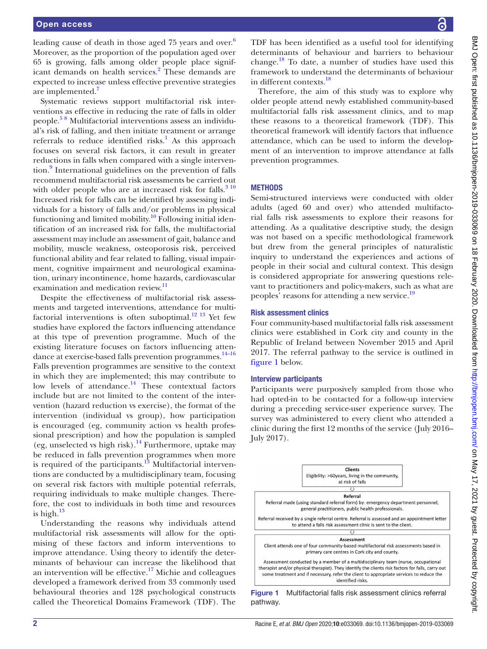leading cause of death in those aged 75 years and over.<sup>[6](#page-7-3)</sup> Moreover, as the proportion of the population aged over 65 is growing, falls among older people place signif-icant demands on health services.<sup>[2](#page-7-1)</sup> These demands are expected to increase unless effective preventive strategies are implemented.<sup>[7](#page-7-4)</sup>

Systematic reviews support multifactorial risk interventions as effective in reducing the rate of falls in older people[.5 8](#page-7-5) Multifactorial interventions assess an individual's risk of falling, and then initiate treatment or arrange referrals to reduce identified risks.<sup>[1](#page-7-0)</sup> As this approach focuses on several risk factors, it can result in greater reductions in falls when compared with a single interven-tion.<sup>[9](#page-7-6)</sup> International guidelines on the prevention of falls recommend multifactorial risk assessments be carried out with older people who are at increased risk for falls. $3^{10}$ Increased risk for falls can be identified by assessing individuals for a history of falls and/or problems in physical functioning and limited mobility.<sup>[10](#page-7-8)</sup> Following initial identification of an increased risk for falls, the multifactorial assessment may include an assessment of gait, balance and mobility, muscle weakness, osteoporosis risk, perceived functional ability and fear related to falling, visual impairment, cognitive impairment and neurological examination, urinary incontinence, home hazards, cardiovascular examination and medication review.<sup>[11](#page-7-9)</sup>

Despite the effectiveness of multifactorial risk assessments and targeted interventions, attendance for multifactorial interventions is often suboptimal.<sup>12 13</sup> Yet few studies have explored the factors influencing attendance at this type of prevention programme. Much of the existing literature focuses on factors influencing attendance at exercise-based falls prevention programmes.<sup>14–16</sup> Falls prevention programmes are sensitive to the context in which they are implemented; this may contribute to low levels of attendance. $14$  These contextual factors include but are not limited to the content of the intervention (hazard reduction vs exercise), the format of the intervention (individual vs group), how participation is encouraged (eg, community action vs health professional prescription) and how the population is sampled (eg, unselected vs high risk).<sup>14</sup> Furthermore, uptake may be reduced in falls prevention programmes when more is required of the participants. $13$  Multifactorial interventions are conducted by a multidisciplinary team, focusing on several risk factors with multiple potential referrals, requiring individuals to make multiple changes. Therefore, the cost to individuals in both time and resources is high. $13$ 

Understanding the reasons why individuals attend multifactorial risk assessments will allow for the optimising of these factors and inform interventions to improve attendance. Using theory to identify the determinants of behaviour can increase the likelihood that an intervention will be effective.<sup>17</sup> Michie and colleagues developed a framework derived from 33 commonly used behavioural theories and 128 psychological constructs called the Theoretical Domains Framework (TDF). The

TDF has been identified as a useful tool for identifying determinants of behaviour and barriers to behaviour change.<sup>18</sup> To date, a number of studies have used this framework to understand the determinants of behaviour in different contexts.<sup>18</sup>

Therefore, the aim of this study was to explore why older people attend newly established community-based multifactorial falls risk assessment clinics, and to map these reasons to a theoretical framework (TDF). This theoretical framework will identify factors that influence attendance, which can be used to inform the development of an intervention to improve attendance at falls prevention programmes.

## **METHODS**

Semi-structured interviews were conducted with older adults (aged 60 and over) who attended multifactorial falls risk assessments to explore their reasons for attending. As a qualitative descriptive study, the design was not based on a specific methodological framework but drew from the general principles of naturalistic inquiry to understand the experiences and actions of people in their social and cultural context. This design is considered appropriate for answering questions relevant to practitioners and policy-makers, such as what are peoples' reasons for attending a new service.<sup>[19](#page-7-15)</sup>

## Risk assessment clinics

Four community-based multifactorial falls risk assessment clinics were established in Cork city and county in the Republic of Ireland between November 2015 and April 2017. The referral pathway to the service is outlined in [figure](#page-1-0) 1 below.

# Interview participants

Participants were purposively sampled from those who had opted-in to be contacted for a follow-up interview during a preceding service-user experience survey. The survey was administered to every client who attended a clinic during the first 12 months of the service (July 2016– July 2017).



<span id="page-1-0"></span>Figure 1 Multifactorial falls risk assessment clinics referral pathway.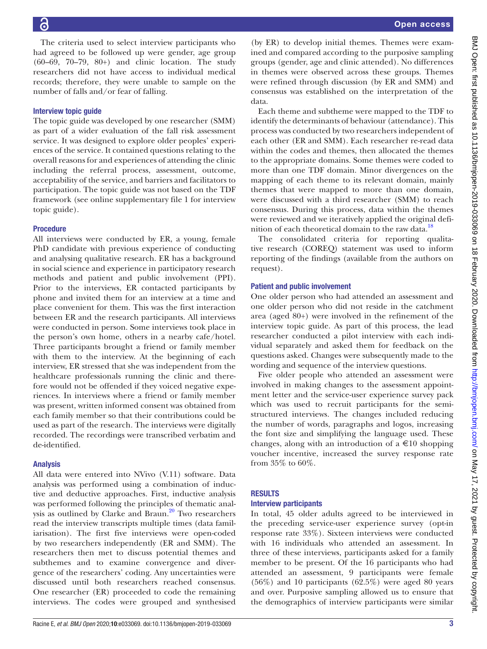The criteria used to select interview participants who had agreed to be followed up were gender, age group (60–69, 70–79, 80+) and clinic location. The study researchers did not have access to individual medical records; therefore, they were unable to sample on the number of falls and/or fear of falling.

## Interview topic guide

The topic guide was developed by one researcher (SMM) as part of a wider evaluation of the fall risk assessment service. It was designed to explore older peoples' experiences of the service. It contained questions relating to the overall reasons for and experiences of attending the clinic including the referral process, assessment, outcome, acceptability of the service, and barriers and facilitators to participation. The topic guide was not based on the TDF framework (see [online supplementary file 1](https://dx.doi.org/10.1136/bmjopen-2019-033069) for interview topic guide).

# Procedure

All interviews were conducted by ER, a young, female PhD candidate with previous experience of conducting and analysing qualitative research. ER has a background in social science and experience in participatory research methods and patient and public involvement (PPI). Prior to the interviews, ER contacted participants by phone and invited them for an interview at a time and place convenient for them. This was the first interaction between ER and the research participants. All interviews were conducted in person. Some interviews took place in the person's own home, others in a nearby cafe/hotel. Three participants brought a friend or family member with them to the interview. At the beginning of each interview, ER stressed that she was independent from the healthcare professionals running the clinic and therefore would not be offended if they voiced negative experiences. In interviews where a friend or family member was present, written informed consent was obtained from each family member so that their contributions could be used as part of the research. The interviews were digitally recorded. The recordings were transcribed verbatim and de-identified.

# Analysis

All data were entered into NVivo (V.11) software. Data analysis was performed using a combination of inductive and deductive approaches. First, inductive analysis was performed following the principles of thematic analysis as outlined by Clarke and Braun. $20$  Two researchers read the interview transcripts multiple times (data familiarisation). The first five interviews were open-coded by two researchers independently (ER and SMM). The researchers then met to discuss potential themes and subthemes and to examine convergence and divergence of the researchers' coding. Any uncertainties were discussed until both researchers reached consensus. One researcher (ER) proceeded to code the remaining interviews. The codes were grouped and synthesised

(by ER) to develop initial themes. Themes were examined and compared according to the purposive sampling groups (gender, age and clinic attended). No differences in themes were observed across these groups. Themes were refined through discussion (by ER and SMM) and consensus was established on the interpretation of the data.

Each theme and subtheme were mapped to the TDF to identify the determinants of behaviour (attendance). This process was conducted by two researchers independent of each other (ER and SMM). Each researcher re-read data within the codes and themes, then allocated the themes to the appropriate domains. Some themes were coded to more than one TDF domain. Minor divergences on the mapping of each theme to its relevant domain, mainly themes that were mapped to more than one domain, were discussed with a third researcher (SMM) to reach consensus. During this process, data within the themes were reviewed and we iteratively applied the original definition of each theoretical domain to the raw data.<sup>18</sup>

The consolidated criteria for reporting qualitative research (COREQ) statement was used to inform reporting of the findings (available from the authors on request).

# Patient and public involvement

One older person who had attended an assessment and one older person who did not reside in the catchment area (aged 80+) were involved in the refinement of the interview topic guide. As part of this process, the lead researcher conducted a pilot interview with each individual separately and asked them for feedback on the questions asked. Changes were subsequently made to the wording and sequence of the interview questions.

Five older people who attended an assessment were involved in making changes to the assessment appointment letter and the service-user experience survey pack which was used to recruit participants for the semistructured interviews. The changes included reducing the number of words, paragraphs and logos, increasing the font size and simplifying the language used. These changes, along with an introduction of a  $\epsilon$ 10 shopping voucher incentive, increased the survey response rate from 35% to 60%.

# **RESULTS**

## Interview participants

In total, 45 older adults agreed to be interviewed in the preceding service-user experience survey (opt-in response rate 33%). Sixteen interviews were conducted with 16 individuals who attended an assessment. In three of these interviews, participants asked for a family member to be present. Of the 16 participants who had attended an assessment, 9 participants were female (56%) and 10 participants (62.5%) were aged 80 years and over. Purposive sampling allowed us to ensure that the demographics of interview participants were similar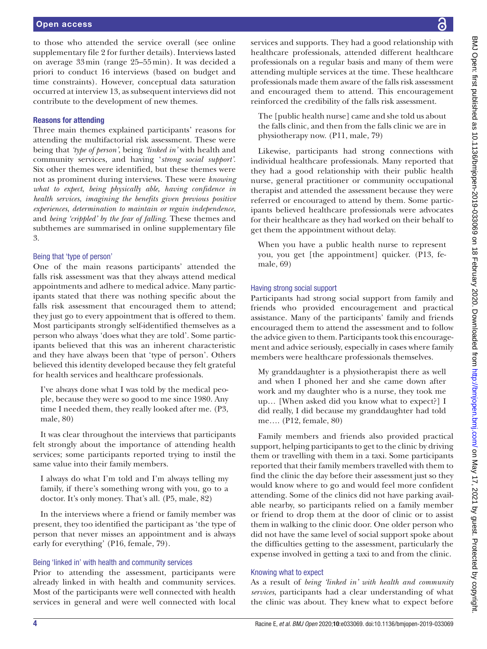to those who attended the service overall (see [online](https://dx.doi.org/10.1136/bmjopen-2019-033069) [supplementary file 2](https://dx.doi.org/10.1136/bmjopen-2019-033069) for further details). Interviews lasted on average 33min (range 25–55min). It was decided a priori to conduct 16 interviews (based on budget and time constraints). However, conceptual data saturation occurred at interview 13, as subsequent interviews did not contribute to the development of new themes.

### Reasons for attending

Three main themes explained participants' reasons for attending the multifactorial risk assessment. These were being that *'type of person'*, being *'linked in'* with health and community services, and having '*strong social support'*. Six other themes were identified, but these themes were not as prominent during interviews. These were *knowing what to expect*, *being physically able*, *having confidence in health services*, *imagining the benefits given previous positive experiences*, *determination to maintain or regain independence*, and *being 'crippled' by the fear of falling*. These themes and subthemes are summarised in [online supplementary file](https://dx.doi.org/10.1136/bmjopen-2019-033069) [3.](https://dx.doi.org/10.1136/bmjopen-2019-033069)

#### Being that 'type of person'

One of the main reasons participants' attended the falls risk assessment was that they always attend medical appointments and adhere to medical advice. Many participants stated that there was nothing specific about the falls risk assessment that encouraged them to attend; they just go to every appointment that is offered to them. Most participants strongly self-identified themselves as a person who always 'does what they are told'. Some participants believed that this was an inherent characteristic and they have always been that 'type of person'. Others believed this identity developed because they felt grateful for health services and healthcare professionals.

I've always done what I was told by the medical people, because they were so good to me since 1980. Any time I needed them, they really looked after me. (P3, male, 80)

It was clear throughout the interviews that participants felt strongly about the importance of attending health services; some participants reported trying to instil the same value into their family members.

I always do what I'm told and I'm always telling my family, if there's something wrong with you, go to a doctor. It's only money. That's all. (P5, male, 82)

In the interviews where a friend or family member was present, they too identified the participant as 'the type of person that never misses an appointment and is always early for everything' (P16, female, 79).

#### Being 'linked in' with health and community services

Prior to attending the assessment, participants were already linked in with health and community services. Most of the participants were well connected with health services in general and were well connected with local

services and supports. They had a good relationship with healthcare professionals, attended different healthcare professionals on a regular basis and many of them were attending multiple services at the time. These healthcare professionals made them aware of the falls risk assessment and encouraged them to attend. This encouragement reinforced the credibility of the falls risk assessment.

The [public health nurse] came and she told us about the falls clinic, and then from the falls clinic we are in physiotherapy now. (P11, male, 79)

Likewise, participants had strong connections with individual healthcare professionals. Many reported that they had a good relationship with their public health nurse, general practitioner or community occupational therapist and attended the assessment because they were referred or encouraged to attend by them. Some participants believed healthcare professionals were advocates for their healthcare as they had worked on their behalf to get them the appointment without delay.

When you have a public health nurse to represent you, you get [the appointment] quicker. (P13, female, 69)

#### Having strong social support

Participants had strong social support from family and friends who provided encouragement and practical assistance. Many of the participants' family and friends encouraged them to attend the assessment and to follow the advice given to them. Participants took this encouragement and advice seriously, especially in cases where family members were healthcare professionals themselves.

My granddaughter is a physiotherapist there as well and when I phoned her and she came down after work and my daughter who is a nurse, they took me up… [When asked did you know what to expect?] I did really, I did because my granddaughter had told me…. (P12, female, 80)

Family members and friends also provided practical support, helping participants to get to the clinic by driving them or travelling with them in a taxi. Some participants reported that their family members travelled with them to find the clinic the day before their assessment just so they would know where to go and would feel more confident attending. Some of the clinics did not have parking available nearby, so participants relied on a family member or friend to drop them at the door of clinic or to assist them in walking to the clinic door. One older person who did not have the same level of social support spoke about the difficulties getting to the assessment, particularly the expense involved in getting a taxi to and from the clinic.

#### Knowing what to expect

As a result of *being 'linked in' with health and community services*, participants had a clear understanding of what the clinic was about. They knew what to expect before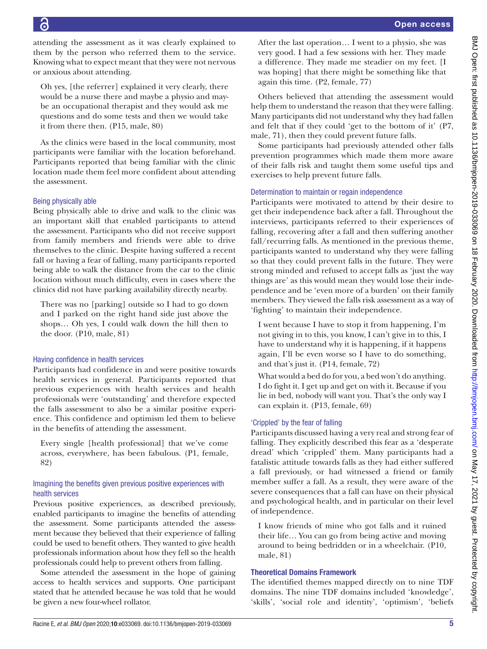attending the assessment as it was clearly explained to them by the person who referred them to the service. Knowing what to expect meant that they were not nervous or anxious about attending.

Oh yes, [the referrer] explained it very clearly, there would be a nurse there and maybe a physio and maybe an occupational therapist and they would ask me questions and do some tests and then we would take it from there then. (P15, male, 80)

As the clinics were based in the local community, most participants were familiar with the location beforehand. Participants reported that being familiar with the clinic location made them feel more confident about attending the assessment.

# Being physically able

Being physically able to drive and walk to the clinic was an important skill that enabled participants to attend the assessment. Participants who did not receive support from family members and friends were able to drive themselves to the clinic. Despite having suffered a recent fall or having a fear of falling, many participants reported being able to walk the distance from the car to the clinic location without much difficulty, even in cases where the clinics did not have parking availability directly nearby.

There was no [parking] outside so I had to go down and I parked on the right hand side just above the shops… Oh yes, I could walk down the hill then to the door. (P10, male, 81)

# Having confidence in health services

Participants had confidence in and were positive towards health services in general. Participants reported that previous experiences with health services and health professionals were 'outstanding' and therefore expected the falls assessment to also be a similar positive experience. This confidence and optimism led them to believe in the benefits of attending the assessment.

Every single [health professional] that we've come across, everywhere, has been fabulous. (P1, female, 82)

## Imagining the benefits given previous positive experiences with health services

Previous positive experiences, as described previously, enabled participants to imagine the benefits of attending the assessment. Some participants attended the assessment because they believed that their experience of falling could be used to benefit others. They wanted to give health professionals information about how they fell so the health professionals could help to prevent others from falling.

Some attended the assessment in the hope of gaining access to health services and supports. One participant stated that he attended because he was told that he would be given a new four-wheel rollator.

After the last operation… I went to a physio, she was very good. I had a few sessions with her. They made a difference. They made me steadier on my feet. [I was hoping] that there might be something like that again this time. (P2, female, 77)

Others believed that attending the assessment would help them to understand the reason that they were falling. Many participants did not understand why they had fallen and felt that if they could 'get to the bottom of it' (P7, male, 71), then they could prevent future falls.

Some participants had previously attended other falls prevention programmes which made them more aware of their falls risk and taught them some useful tips and exercises to help prevent future falls.

## Determination to maintain or regain independence

Participants were motivated to attend by their desire to get their independence back after a fall. Throughout the interviews, participants referred to their experiences of falling, recovering after a fall and then suffering another fall/recurring falls. As mentioned in the previous theme, participants wanted to understand why they were falling so that they could prevent falls in the future. They were strong minded and refused to accept falls as 'just the way things are' as this would mean they would lose their independence and be 'even more of a burden' on their family members. They viewed the falls risk assessment as a way of 'fighting' to maintain their independence.

I went because I have to stop it from happening, I'm not giving in to this, you know, I can't give in to this, I have to understand why it is happening, if it happens again, I'll be even worse so I have to do something, and that's just it. (P14, female, 72)

What would a bed do for you, a bed won't do anything. I do fight it. I get up and get on with it. Because if you lie in bed, nobody will want you. That's the only way I can explain it. (P13, female, 69)

# 'Crippled' by the fear of falling

Participants discussed having a very real and strong fear of falling. They explicitly described this fear as a 'desperate dread' which 'crippled' them. Many participants had a fatalistic attitude towards falls as they had either suffered a fall previously, or had witnessed a friend or family member suffer a fall. As a result, they were aware of the severe consequences that a fall can have on their physical and psychological health, and in particular on their level of independence.

I know friends of mine who got falls and it ruined their life… You can go from being active and moving around to being bedridden or in a wheelchair. (P10, male, 81)

# Theoretical Domains Framework

The identified themes mapped directly on to nine TDF domains. The nine TDF domains included 'knowledge', 'skills', 'social role and identity', 'optimism', 'beliefs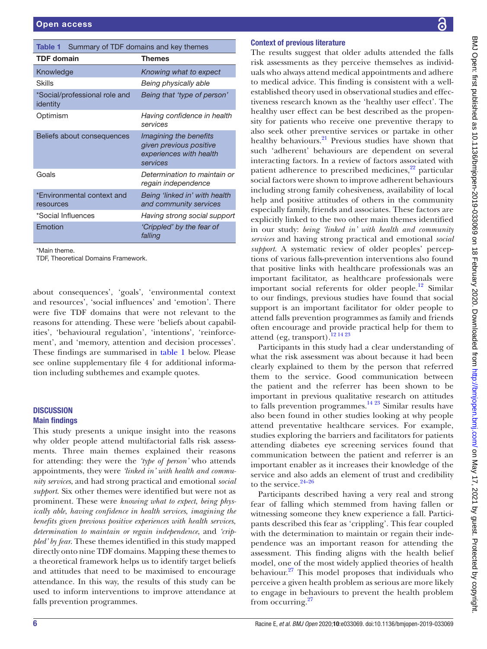<span id="page-5-0"></span>

| Summary of TDF domains and key themes<br><b>Table 1</b> |                                                                                          |
|---------------------------------------------------------|------------------------------------------------------------------------------------------|
| <b>TDF</b> domain                                       | <b>Themes</b>                                                                            |
| Knowledge                                               | Knowing what to expect                                                                   |
| Skills                                                  | Being physically able                                                                    |
| *Social/professional role and<br>identity               | Being that 'type of person'                                                              |
| Optimism                                                | Having confidence in health<br>services                                                  |
| Beliefs about consequences                              | Imagining the benefits<br>given previous positive<br>experiences with health<br>services |
| Goals                                                   | Determination to maintain or<br>regain independence                                      |
| *Fnvironmental context and<br>resources                 | Being 'linked in' with health<br>and community services                                  |
| *Social Influences                                      | Having strong social support                                                             |
| Emotion                                                 | 'Crippled' by the fear of<br>falling                                                     |
| *Main theme.<br>TDF, Theoretical Domains Framework.     |                                                                                          |

about consequences', 'goals', 'environmental context and resources', 'social influences' and 'emotion'. There were five TDF domains that were not relevant to the reasons for attending. These were 'beliefs about capabilities', 'behavioural regulation', 'intentions', 'reinforcement', and 'memory, attention and decision processes'. These findings are summarised in [table](#page-5-0) 1 below. Please see [online supplementary file 4](https://dx.doi.org/10.1136/bmjopen-2019-033069) for additional information including subthemes and example quotes.

# **DISCUSSION**

### Main findings

This study presents a unique insight into the reasons why older people attend multifactorial falls risk assessments. Three main themes explained their reasons for attending: they were the *'type of person'* who attends appointments, they were *'linked in' with health and community services*, and had strong practical and emotional *social support*. Six other themes were identified but were not as prominent. These were *knowing what to expect*, *being physically able*, *having confidence in health services*, *imagining the benefits given previous positive experiences with health services*, *determination to maintain or regain independence*, and *'crippled' by fear*. These themes identified in this study mapped directly onto nine TDF domains. Mapping these themes to a theoretical framework helps us to identify target beliefs and attitudes that need to be maximised to encourage attendance. In this way, the results of this study can be used to inform interventions to improve attendance at falls prevention programmes.

## Context of previous literature

The results suggest that older adults attended the falls risk assessments as they perceive themselves as individuals who always attend medical appointments and adhere to medical advice. This finding is consistent with a wellestablished theory used in observational studies and effectiveness research known as the 'healthy user effect'. The healthy user effect can be best described as the propensity for patients who receive one preventive therapy to also seek other preventive services or partake in other healthy behaviours.<sup>[21](#page-7-17)</sup> Previous studies have shown that such 'adherent' behaviours are dependent on several interacting factors. In a review of factors associated with patient adherence to prescribed medicines, $^{22}$  particular social factors were shown to improve adherent behaviours including strong family cohesiveness, availability of local help and positive attitudes of others in the community especially family, friends and associates. These factors are explicitly linked to the two other main themes identified in our study: *being 'linked in' with health and community services* and having strong practical and emotional *social support*. A systematic review of older peoples' perceptions of various falls-prevention interventions also found that positive links with healthcare professionals was an important facilitator, as healthcare professionals were important social referents for older people.<sup>12</sup> Similar to our findings, previous studies have found that social support is an important facilitator for older people to attend falls prevention programmes as family and friends often encourage and provide practical help for them to attend (eg, transport). $12^{14}$   $23$ 

Participants in this study had a clear understanding of what the risk assessment was about because it had been clearly explained to them by the person that referred them to the service. Good communication between the patient and the referrer has been shown to be important in previous qualitative research on attitudes to falls prevention programmes.<sup>[14 23](#page-7-11)</sup> Similar results have also been found in other studies looking at why people attend preventative healthcare services. For example, studies exploring the barriers and facilitators for patients attending diabetes eye screening services found that communication between the patient and referrer is an important enabler as it increases their knowledge of the service and also adds an element of trust and credibility to the service.<sup>24-26</sup>

Participants described having a very real and strong fear of falling which stemmed from having fallen or witnessing someone they knew experience a fall. Participants described this fear as 'crippling'. This fear coupled with the determination to maintain or regain their independence was an important reason for attending the assessment. This finding aligns with the health belief model, one of the most widely applied theories of health behaviour. $27$  This model proposes that individuals who perceive a given health problem as serious are more likely to engage in behaviours to prevent the health problem from occurring.<sup>27</sup>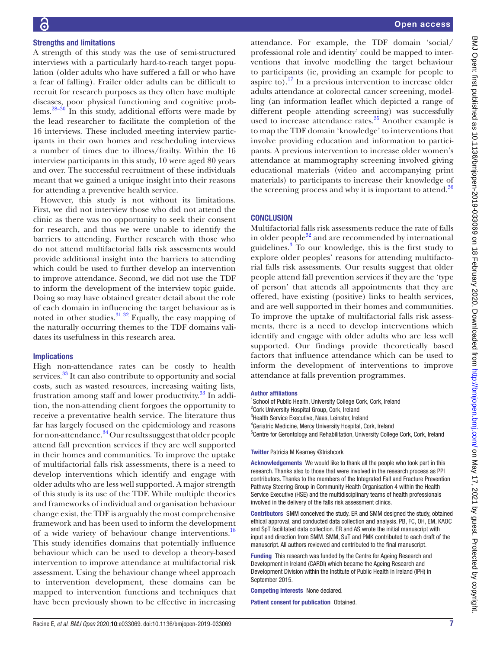#### Strengths and limitations

A strength of this study was the use of semi-structured interviews with a particularly hard-to-reach target population (older adults who have suffered a fall or who have a fear of falling). Frailer older adults can be difficult to recruit for research purposes as they often have multiple diseases, poor physical functioning and cognitive problems[.28–30](#page-7-21) In this study, additional efforts were made by the lead researcher to facilitate the completion of the 16 interviews. These included meeting interview participants in their own homes and rescheduling interviews a number of times due to illness/frailty. Within the 16 interview participants in this study, 10 were aged 80 years and over. The successful recruitment of these individuals meant that we gained a unique insight into their reasons for attending a preventive health service.

However, this study is not without its limitations. First, we did not interview those who did not attend the clinic as there was no opportunity to seek their consent for research, and thus we were unable to identify the barriers to attending. Further research with those who do not attend multifactorial falls risk assessments would provide additional insight into the barriers to attending which could be used to further develop an intervention to improve attendance. Second, we did not use the TDF to inform the development of the interview topic guide. Doing so may have obtained greater detail about the role of each domain in influencing the target behaviour as is noted in other studies. $31 32$  Equally, the easy mapping of the naturally occurring themes to the TDF domains validates its usefulness in this research area.

#### **Implications**

High non-attendance rates can be costly to health services.<sup>[33](#page-7-23)</sup> It can also contribute to opportunity and social costs, such as wasted resources, increasing waiting lists, frustration among staff and lower productivity.<sup>[33](#page-7-23)</sup> In addition, the non-attending client forgoes the opportunity to receive a preventative health service. The literature thus far has largely focused on the epidemiology and reasons for non-attendance.<sup>34</sup> Our results suggest that older people attend fall prevention services if they are well supported in their homes and communities. To improve the uptake of multifactorial falls risk assessments, there is a need to develop interventions which identify and engage with older adults who are less well supported. A major strength of this study is its use of the TDF. While multiple theories and frameworks of individual and organisation behaviour change exist, the TDF is arguably the most comprehensive framework and has been used to inform the development of a wide variety of behaviour change interventions.<sup>[18](#page-7-14)</sup> This study identifies domains that potentially influence behaviour which can be used to develop a theory-based intervention to improve attendance at multifactorial risk assessment. Using the behaviour change wheel approach to intervention development, these domains can be mapped to intervention functions and techniques that have been previously shown to be effective in increasing

attendance. For example, the TDF domain 'social/ professional role and identity' could be mapped to interventions that involve modelling the target behaviour to participants (ie, providing an example for people to aspire to). $^{17}$  In a previous intervention to increase older adults attendance at colorectal cancer screening, modelling (an information leaflet which depicted a range of different people attending screening) was successfully used to increase attendance rates.<sup>[35](#page-7-25)</sup> Another example is to map the TDF domain 'knowledge' to interventions that involve providing education and information to participants. A previous intervention to increase older women's attendance at mammography screening involved giving educational materials (video and accompanying print materials) to participants to increase their knowledge of the screening process and why it is important to attend.<sup>[36](#page-7-26)</sup>

## **CONCLUSION**

Multifactorial falls risk assessments reduce the rate of falls in older people $32$  and are recommended by international guidelines.<sup>[3](#page-7-7)</sup> To our knowledge, this is the first study to explore older peoples' reasons for attending multifactorial falls risk assessments. Our results suggest that older people attend fall prevention services if they are the 'type of person' that attends all appointments that they are offered, have existing (positive) links to health services, and are well supported in their homes and communities. To improve the uptake of multifactorial falls risk assessments, there is a need to develop interventions which identify and engage with older adults who are less well supported. Our findings provide theoretically based factors that influence attendance which can be used to inform the development of interventions to improve attendance at falls prevention programmes.

#### Author affiliations

<sup>1</sup>School of Public Health, University College Cork, Cork, Ireland <sup>2</sup> Cork University Hospital Group, Cork, Ireland <sup>3</sup>Health Service Executive, Naas, Leinster, Ireland 4 Geriatric Medicine, Mercy University Hospital, Cork, Ireland <sup>5</sup>Centre for Gerontology and Rehabilitation, University College Cork, Cork, Ireland

Twitter Patricia M Kearney [@trishcork](https://twitter.com/trishcork)

Acknowledgements We would like to thank all the people who took part in this research. Thanks also to those that were involved in the research process as PPI contributors. Thanks to the members of the Integrated Fall and Fracture Prevention Pathway Steering Group in Community Health Organisation 4 within the Health Service Executive (HSE) and the multidisciplinary teams of health professionals involved in the delivery of the falls risk assessment clinics.

Contributors SMM conceived the study. ER and SMM designed the study, obtained ethical approval, and conducted data collection and analysis. PB, FC, OH, EM, KAOC and SpT facilitated data collection. ER and AS wrote the initial manuscript with input and direction from SMM. SMM, SuT and PMK contributed to each draft of the manuscript. All authors reviewed and contributed to the final manuscript.

Funding This research was funded by the Centre for Ageing Research and Development in Ireland (CARDI) which became the Ageing Research and Development Division within the Institute of Public Health in Ireland (IPH) in September 2015.

Competing interests None declared.

Patient consent for publication Obtained.